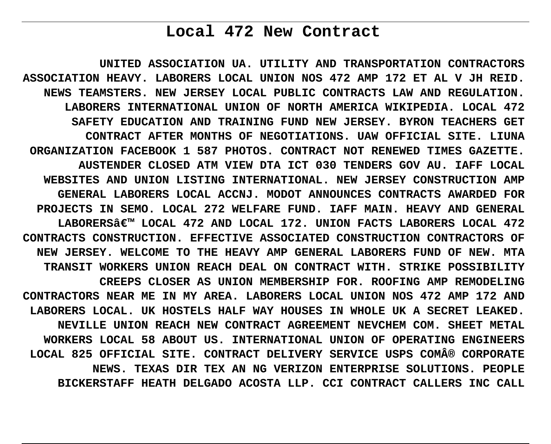# **Local 472 New Contract**

**UNITED ASSOCIATION UA. UTILITY AND TRANSPORTATION CONTRACTORS ASSOCIATION HEAVY. LABORERS LOCAL UNION NOS 472 AMP 172 ET AL V JH REID. NEWS TEAMSTERS. NEW JERSEY LOCAL PUBLIC CONTRACTS LAW AND REGULATION. LABORERS INTERNATIONAL UNION OF NORTH AMERICA WIKIPEDIA. LOCAL 472 SAFETY EDUCATION AND TRAINING FUND NEW JERSEY. BYRON TEACHERS GET CONTRACT AFTER MONTHS OF NEGOTIATIONS. UAW OFFICIAL SITE. LIUNA ORGANIZATION FACEBOOK 1 587 PHOTOS. CONTRACT NOT RENEWED TIMES GAZETTE. AUSTENDER CLOSED ATM VIEW DTA ICT 030 TENDERS GOV AU. IAFF LOCAL WEBSITES AND UNION LISTING INTERNATIONAL. NEW JERSEY CONSTRUCTION AMP GENERAL LABORERS LOCAL ACCNJ. MODOT ANNOUNCES CONTRACTS AWARDED FOR PROJECTS IN SEMO. LOCAL 272 WELFARE FUND. IAFF MAIN. HEAVY AND GENERAL** LABORERSâ€<sup>™</sup> LOCAL 472 AND LOCAL 172. UNION FACTS LABORERS LOCAL 472 **CONTRACTS CONSTRUCTION. EFFECTIVE ASSOCIATED CONSTRUCTION CONTRACTORS OF NEW JERSEY. WELCOME TO THE HEAVY AMP GENERAL LABORERS FUND OF NEW. MTA TRANSIT WORKERS UNION REACH DEAL ON CONTRACT WITH. STRIKE POSSIBILITY CREEPS CLOSER AS UNION MEMBERSHIP FOR. ROOFING AMP REMODELING CONTRACTORS NEAR ME IN MY AREA. LABORERS LOCAL UNION NOS 472 AMP 172 AND LABORERS LOCAL. UK HOSTELS HALF WAY HOUSES IN WHOLE UK A SECRET LEAKED. NEVILLE UNION REACH NEW CONTRACT AGREEMENT NEVCHEM COM. SHEET METAL WORKERS LOCAL 58 ABOUT US. INTERNATIONAL UNION OF OPERATING ENGINEERS** LOCAL 825 OFFICIAL SITE. CONTRACT DELIVERY SERVICE USPS COM® CORPORATE **NEWS. TEXAS DIR TEX AN NG VERIZON ENTERPRISE SOLUTIONS. PEOPLE BICKERSTAFF HEATH DELGADO ACOSTA LLP. CCI CONTRACT CALLERS INC CALL**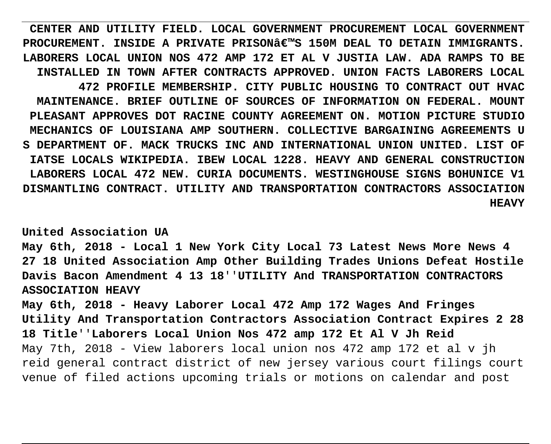**CENTER AND UTILITY FIELD. LOCAL GOVERNMENT PROCUREMENT LOCAL GOVERNMENT PROCUREMENT. INSIDE A PRIVATE PRISON€™S 150M DEAL TO DETAIN IMMIGRANTS. LABORERS LOCAL UNION NOS 472 AMP 172 ET AL V JUSTIA LAW. ADA RAMPS TO BE INSTALLED IN TOWN AFTER CONTRACTS APPROVED. UNION FACTS LABORERS LOCAL 472 PROFILE MEMBERSHIP. CITY PUBLIC HOUSING TO CONTRACT OUT HVAC MAINTENANCE. BRIEF OUTLINE OF SOURCES OF INFORMATION ON FEDERAL. MOUNT PLEASANT APPROVES DOT RACINE COUNTY AGREEMENT ON. MOTION PICTURE STUDIO MECHANICS OF LOUISIANA AMP SOUTHERN. COLLECTIVE BARGAINING AGREEMENTS U S DEPARTMENT OF. MACK TRUCKS INC AND INTERNATIONAL UNION UNITED. LIST OF IATSE LOCALS WIKIPEDIA. IBEW LOCAL 1228. HEAVY AND GENERAL CONSTRUCTION LABORERS LOCAL 472 NEW. CURIA DOCUMENTS. WESTINGHOUSE SIGNS BOHUNICE V1 DISMANTLING CONTRACT. UTILITY AND TRANSPORTATION CONTRACTORS ASSOCIATION HEAVY**

**United Association UA**

**May 6th, 2018 - Local 1 New York City Local 73 Latest News More News 4 27 18 United Association Amp Other Building Trades Unions Defeat Hostile Davis Bacon Amendment 4 13 18**''**UTILITY And TRANSPORTATION CONTRACTORS ASSOCIATION HEAVY**

**May 6th, 2018 - Heavy Laborer Local 472 Amp 172 Wages And Fringes Utility And Transportation Contractors Association Contract Expires 2 28 18 Title**''**Laborers Local Union Nos 472 amp 172 Et Al V Jh Reid** May 7th, 2018 - View laborers local union nos 472 amp 172 et al v jh reid general contract district of new jersey various court filings court venue of filed actions upcoming trials or motions on calendar and post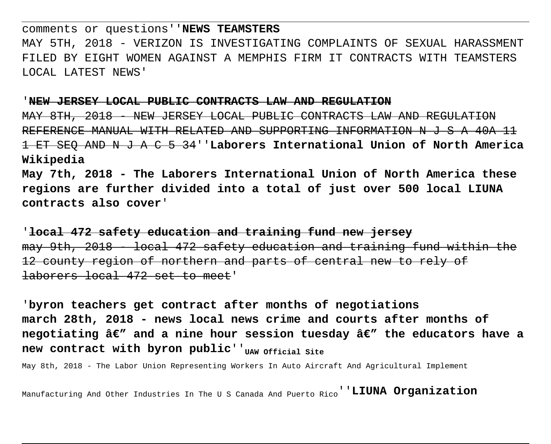comments or questions''**NEWS TEAMSTERS** MAY 5TH, 2018 - VERIZON IS INVESTIGATING COMPLAINTS OF SEXUAL HARASSMENT FILED BY EIGHT WOMEN AGAINST A MEMPHIS FIRM IT CONTRACTS WITH TEAMSTERS LOCAL LATEST NEWS'

#### '**NEW JERSEY LOCAL PUBLIC CONTRACTS LAW AND REGULATION**

8TH, 2018 - NEW JERSEY LOCAL PUBLIC CONTRACTS LAW AND REGULATION REFERENCE MANUAL WITH RELATED AND SUPPORTING INFORMATION N J S A 40A 11 1 ET SEQ AND N J A C 5 34''**Laborers International Union of North America Wikipedia**

**May 7th, 2018 - The Laborers International Union of North America these regions are further divided into a total of just over 500 local LIUNA contracts also cover**'

'**local 472 safety education and training fund new jersey** may 9th, 2018 - local 472 safety education and training fund within the county region of northern and parts of central new to rely of laborers local 472 set to meet'

'**byron teachers get contract after months of negotiations march 28th, 2018 - news local news crime and courts after months of** negotiating â€" and a nine hour session tuesday â€" the educators have a new contract with byron public<sup>'</sup>'uaw official site

May 8th, 2018 - The Labor Union Representing Workers In Auto Aircraft And Agricultural Implement

Manufacturing And Other Industries In The U S Canada And Puerto Rico''**LIUNA Organization**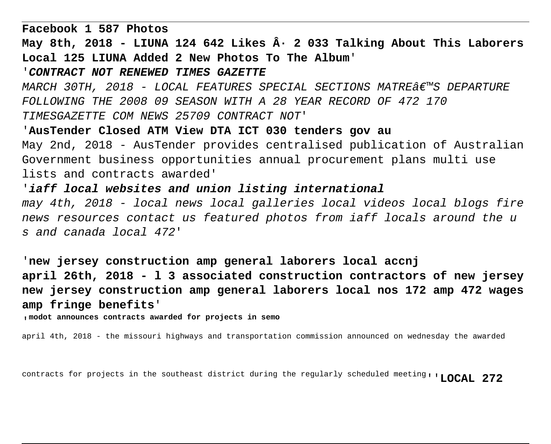**Facebook 1 587 Photos** May 8th, 2018 - LIUNA 124 642 Likes  $\hat{A}$  · 2 033 Talking About This Laborers **Local 125 LIUNA Added 2 New Photos To The Album**' '**CONTRACT NOT RENEWED TIMES GAZETTE** MARCH 30TH, 2018 - LOCAL FEATURES SPECIAL SECTIONS MATRE $\hat{\theta} \in \mathbb{R}^N$ S DEPARTURE FOLLOWING THE 2008 09 SEASON WITH A 28 YEAR RECORD OF 472 170 TIMESGAZETTE COM NEWS 25709 CONTRACT NOT' '**AusTender Closed ATM View DTA ICT 030 tenders gov au** May 2nd, 2018 - AusTender provides centralised publication of Australian Government business opportunities annual procurement plans multi use lists and contracts awarded' '**iaff local websites and union listing international** may 4th, 2018 - local news local galleries local videos local blogs fire news resources contact us featured photos from iaff locals around the u s and canada local 472'

'**new jersey construction amp general laborers local accnj april 26th, 2018 - l 3 associated construction contractors of new jersey new jersey construction amp general laborers local nos 172 amp 472 wages amp fringe benefits**'

'**modot announces contracts awarded for projects in semo**

april 4th, 2018 - the missouri highways and transportation commission announced on wednesday the awarded

contracts for projects in the southeast district during the regularly scheduled meeting''**LOCAL 272**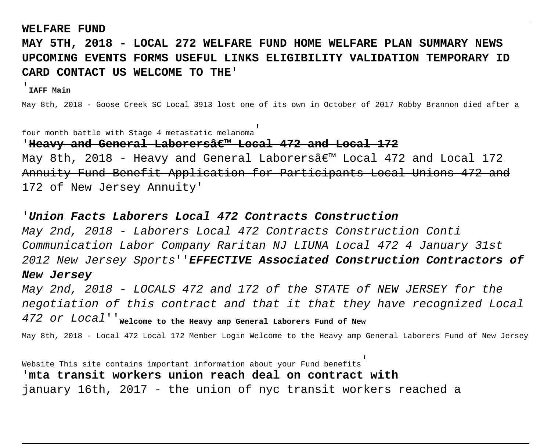#### **WELFARE FUND**

# **MAY 5TH, 2018 - LOCAL 272 WELFARE FUND HOME WELFARE PLAN SUMMARY NEWS UPCOMING EVENTS FORMS USEFUL LINKS ELIGIBILITY VALIDATION TEMPORARY ID CARD CONTACT US WELCOME TO THE**'

## '**IAFF Main**

May 8th, 2018 - Goose Creek SC Local 3913 lost one of its own in October of 2017 Robby Brannon died after a

four month battle with Stage 4 metastatic melanoma'

### 'Heavy and General Laborersâ€<sup>™</sup> Local 472 and Local 172

May 8th, 2018 - Heavy and General Laborers $\frac{2}{3}\epsilon^{w}$  Local 472 and Local 172 Annuity Fund Benefit Application for Participants Local Unions 472 172 of New Jersey Annuity'

### '**Union Facts Laborers Local 472 Contracts Construction**

May 2nd, 2018 - Laborers Local 472 Contracts Construction Conti Communication Labor Company Raritan NJ LIUNA Local 472 4 January 31st 2012 New Jersey Sports''**EFFECTIVE Associated Construction Contractors of New Jersey**

May 2nd, 2018 - LOCALS 472 and 172 of the STATE of NEW JERSEY for the negotiation of this contract and that it that they have recognized Local 472 or Local''**Welcome to the Heavy amp General Laborers Fund of New**

May 8th, 2018 - Local 472 Local 172 Member Login Welcome to the Heavy amp General Laborers Fund of New Jersey

Website This site contains important information about your Fund benefits' '**mta transit workers union reach deal on contract with** january 16th, 2017 - the union of nyc transit workers reached a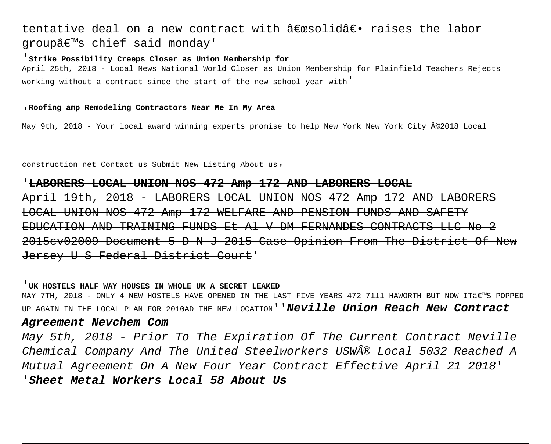# tentative deal on a new contract with  $\hat{a} \in \mathbb{R}$ esolid $\hat{a} \in \cdot$  raises the labor groupâ€<sup>™</sup>s chief said monday'

#### '**Strike Possibility Creeps Closer as Union Membership for**

April 25th, 2018 - Local News National World Closer as Union Membership for Plainfield Teachers Rejects working without a contract since the start of the new school year with'

#### '**Roofing amp Remodeling Contractors Near Me In My Area**

May 9th, 2018 - Your local award winning experts promise to help New York New York City ©2018 Local

construction net Contact us Submit New Listing About us'

#### '**LABORERS LOCAL UNION NOS 472 Amp 172 AND LABORERS LOCAL**

April 19th, 2018 - LABORERS LOCAL UNION NOS 472 Amp 172 AND LABORERS LOCAL UNION NOS 472 Amp 172 WELFARE AND PENSION FUNDS AND SAFETY EDUCATION AND TRAINING FUNDS Et Al V DM FERNANDES 2015cv02009 Document 5 D N J 2015 Case Opinion From The District Jersey U S Federal District Court'

#### '**UK HOSTELS HALF WAY HOUSES IN WHOLE UK A SECRET LEAKED**

MAY 7TH, 2018 - ONLY 4 NEW HOSTELS HAVE OPENED IN THE LAST FIVE YEARS 472 7111 HAWORTH BUT NOW IT'S POPPED UP AGAIN IN THE LOCAL PLAN FOR 2010AD THE NEW LOCATION''**Neville Union Reach New Contract**

### **Agreement Nevchem Com**

May 5th, 2018 - Prior To The Expiration Of The Current Contract Neville Chemical Company And The United Steelworkers USW® Local 5032 Reached A Mutual Agreement On A New Four Year Contract Effective April 21 2018' '**Sheet Metal Workers Local 58 About Us**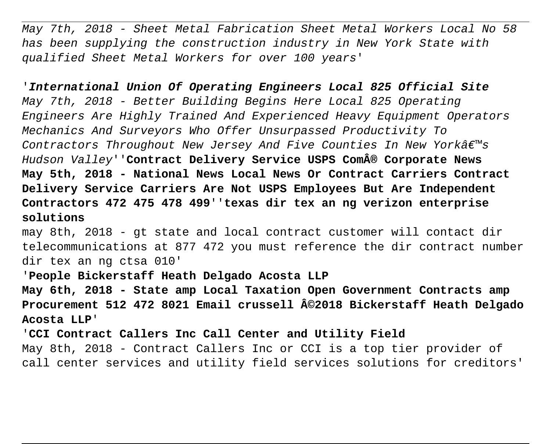May 7th, 2018 - Sheet Metal Fabrication Sheet Metal Workers Local No 58 has been supplying the construction industry in New York State with qualified Sheet Metal Workers for over 100 years'

'**International Union Of Operating Engineers Local 825 Official Site** May 7th, 2018 - Better Building Begins Here Local 825 Operating Engineers Are Highly Trained And Experienced Heavy Equipment Operators Mechanics And Surveyors Who Offer Unsurpassed Productivity To Contractors Throughout New Jersey And Five Counties In New York $\hat{a}\in\mathbb{M}$ s Hudson Valley''**Contract Delivery Service USPS Com® Corporate News May 5th, 2018 - National News Local News Or Contract Carriers Contract Delivery Service Carriers Are Not USPS Employees But Are Independent Contractors 472 475 478 499**''**texas dir tex an ng verizon enterprise solutions**

may 8th, 2018 - gt state and local contract customer will contact dir telecommunications at 877 472 you must reference the dir contract number dir tex an ng ctsa 010'

## '**People Bickerstaff Heath Delgado Acosta LLP**

**May 6th, 2018 - State amp Local Taxation Open Government Contracts amp Procurement 512 472 8021 Email crussell ©2018 Bickerstaff Heath Delgado Acosta LLP**'

'**CCI Contract Callers Inc Call Center and Utility Field** May 8th, 2018 - Contract Callers Inc or CCI is a top tier provider of call center services and utility field services solutions for creditors'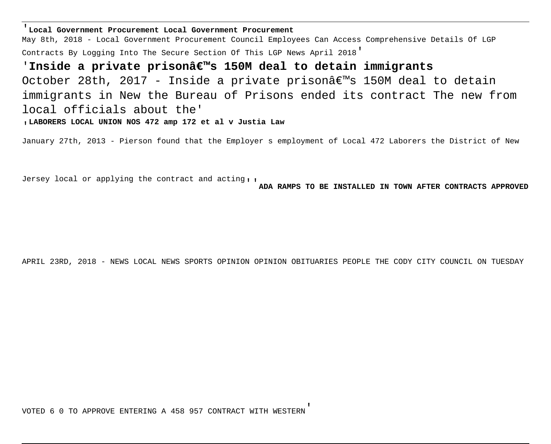'**Local Government Procurement Local Government Procurement**

May 8th, 2018 - Local Government Procurement Council Employees Can Access Comprehensive Details Of LGP Contracts By Logging Into The Secure Section Of This LGP News April 2018'

'Inside a private prisonâ€<sup>™</sup>s 150M deal to detain immigrants October 28th, 2017 - Inside a private prison $\hat{a}\in\mathbb{M}$ s 150M deal to detain immigrants in New the Bureau of Prisons ended its contract The new from local officials about the'

'**LABORERS LOCAL UNION NOS 472 amp 172 et al v Justia Law**

January 27th, 2013 - Pierson found that the Employer s employment of Local 472 Laborers the District of New

Jersey local or applying the contract and acting''**ADA RAMPS TO BE INSTALLED IN TOWN AFTER CONTRACTS APPROVED**

APRIL 23RD, 2018 - NEWS LOCAL NEWS SPORTS OPINION OPINION OBITUARIES PEOPLE THE CODY CITY COUNCIL ON TUESDAY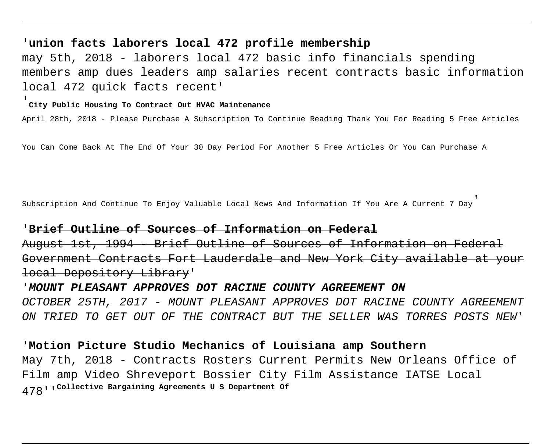## '**union facts laborers local 472 profile membership**

may 5th, 2018 - laborers local 472 basic info financials spending members amp dues leaders amp salaries recent contracts basic information local 472 quick facts recent'

# '**City Public Housing To Contract Out HVAC Maintenance**

April 28th, 2018 - Please Purchase A Subscription To Continue Reading Thank You For Reading 5 Free Articles

You Can Come Back At The End Of Your 30 Day Period For Another 5 Free Articles Or You Can Purchase A

Subscription And Continue To Enjoy Valuable Local News And Information If You Are A Current 7 Day'

## '**Brief Outline of Sources of Information on Federal**

August 1st, 1994 - Brief Outline of Sources of Information on Fede Government Contracts Fort Lauderdale and New York City available local Depository Library'

'**MOUNT PLEASANT APPROVES DOT RACINE COUNTY AGREEMENT ON** OCTOBER 25TH, 2017 - MOUNT PLEASANT APPROVES DOT RACINE COUNTY AGREEMENT ON TRIED TO GET OUT OF THE CONTRACT BUT THE SELLER WAS TORRES POSTS NEW'

## '**Motion Picture Studio Mechanics of Louisiana amp Southern**

May 7th, 2018 - Contracts Rosters Current Permits New Orleans Office of Film amp Video Shreveport Bossier City Film Assistance IATSE Local 478''**Collective Bargaining Agreements U S Department Of**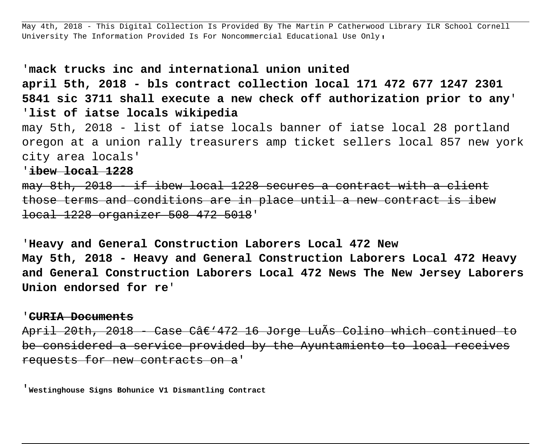May 4th, 2018 - This Digital Collection Is Provided By The Martin P Catherwood Library ILR School Cornell University The Information Provided Is For Noncommercial Educational Use Only,

## '**mack trucks inc and international union united**

**april 5th, 2018 - bls contract collection local 171 472 677 1247 2301 5841 sic 3711 shall execute a new check off authorization prior to any**' '**list of iatse locals wikipedia**

may 5th, 2018 - list of iatse locals banner of iatse local 28 portland oregon at a union rally treasurers amp ticket sellers local 857 new york city area locals'

'**ibew local 1228**

 $\frac{m}{v}$  8th, 2018  $\frac{m}{v}$  if ibew local 1228 secures a contract those terms and conditions are in place until a new contract local 1228 organizer 508 472 5018'

'**Heavy and General Construction Laborers Local 472 New May 5th, 2018 - Heavy and General Construction Laborers Local 472 Heavy and General Construction Laborers Local 472 News The New Jersey Laborers Union endorsed for re**'

### '**CURIA Documents**

April 20th, 2018 - Case Câ€'472 16 Jorge LuÃs Colino which continued be considered a service provided by the Ayuntamiento to local receives requests for new contracts on a'

'**Westinghouse Signs Bohunice V1 Dismantling Contract**